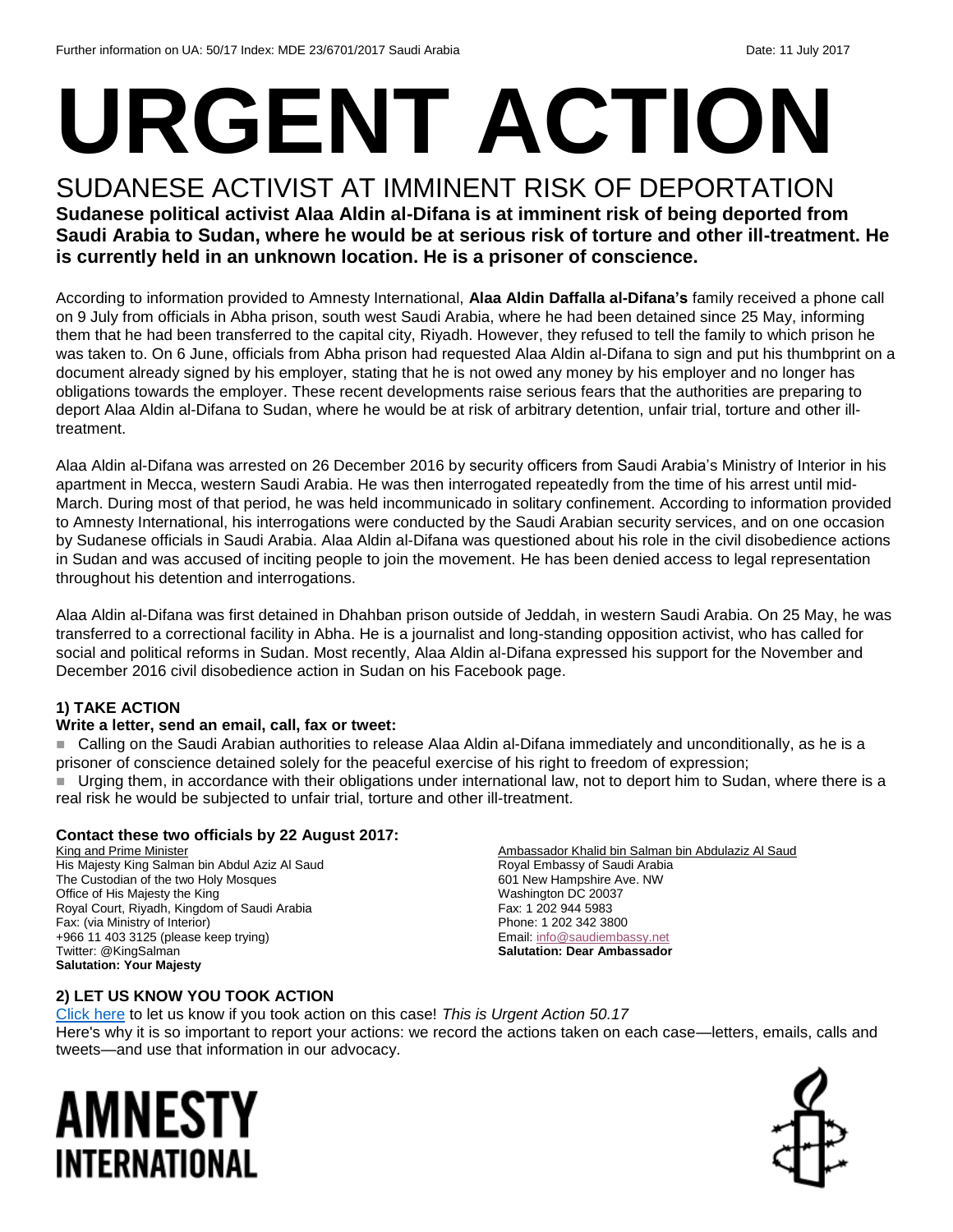# **URGENT ACTION**

#### SUDANESE ACTIVIST AT IMMINENT RISK OF DEPORTATION **Sudanese political activist Alaa Aldin al-Difana is at imminent risk of being deported from Saudi Arabia to Sudan, where he would be at serious risk of torture and other ill-treatment. He is currently held in an unknown location. He is a prisoner of conscience.**

According to information provided to Amnesty International, **Alaa Aldin Daffalla al-Difana's** family received a phone call on 9 July from officials in Abha prison, south west Saudi Arabia, where he had been detained since 25 May, informing them that he had been transferred to the capital city, Riyadh. However, they refused to tell the family to which prison he was taken to. On 6 June, officials from Abha prison had requested Alaa Aldin al-Difana to sign and put his thumbprint on a document already signed by his employer, stating that he is not owed any money by his employer and no longer has obligations towards the employer. These recent developments raise serious fears that the authorities are preparing to deport Alaa Aldin al-Difana to Sudan, where he would be at risk of arbitrary detention, unfair trial, torture and other illtreatment.

Alaa Aldin al-Difana was arrested on 26 December 2016 by security officers from Saudi Arabia's Ministry of Interior in his apartment in Mecca, western Saudi Arabia. He was then interrogated repeatedly from the time of his arrest until mid-March. During most of that period, he was held incommunicado in solitary confinement. According to information provided to Amnesty International, his interrogations were conducted by the Saudi Arabian security services, and on one occasion by Sudanese officials in Saudi Arabia. Alaa Aldin al-Difana was questioned about his role in the civil disobedience actions in Sudan and was accused of inciting people to join the movement. He has been denied access to legal representation throughout his detention and interrogations.

Alaa Aldin al-Difana was first detained in Dhahban prison outside of Jeddah, in western Saudi Arabia. On 25 May, he was transferred to a correctional facility in Abha. He is a journalist and long-standing opposition activist, who has called for social and political reforms in Sudan. Most recently, Alaa Aldin al-Difana expressed his support for the November and December 2016 civil disobedience action in Sudan on his Facebook page.

#### **1) TAKE ACTION**

#### **Write a letter, send an email, call, fax or tweet:**

 Calling on the Saudi Arabian authorities to release Alaa Aldin al-Difana immediately and unconditionally, as he is a prisoner of conscience detained solely for the peaceful exercise of his right to freedom of expression;

Urging them, in accordance with their obligations under international law, not to deport him to Sudan, where there is a real risk he would be subjected to unfair trial, torture and other ill-treatment.

#### **Contact these two officials by 22 August 2017:**

King and Prime Minister His Majesty King Salman bin Abdul Aziz Al Saud The Custodian of the two Holy Mosques Office of His Majesty the King Royal Court, Riyadh, Kingdom of Saudi Arabia Fax: (via Ministry of Interior) +966 11 403 3125 (please keep trying) Twitter: @KingSalman **Salutation: Your Majesty**

Ambassador Khalid bin Salman bin Abdulaziz Al Saud Royal Embassy of Saudi Arabia 601 New Hampshire Ave. NW Washington DC 20037 Fax: 1 202 944 5983 Phone: 1 202 342 3800 Email[: info@saudiembassy.net](mailto:info@saudiembassy.net) **Salutation: Dear Ambassador**

#### **2) LET US KNOW YOU TOOK ACTION**

[Click here](https://docs.google.com/forms/d/e/1FAIpQLSf3RUspces4lA9Gt7Fp9GiAcojCs6fnfFOTCLli3Su6c3S8ew/viewform) to let us know if you took action on this case! *This is Urgent Action 50.17* Here's why it is so important to report your actions: we record the actions taken on each case—letters, emails, calls and tweets—and use that information in our advocacy.